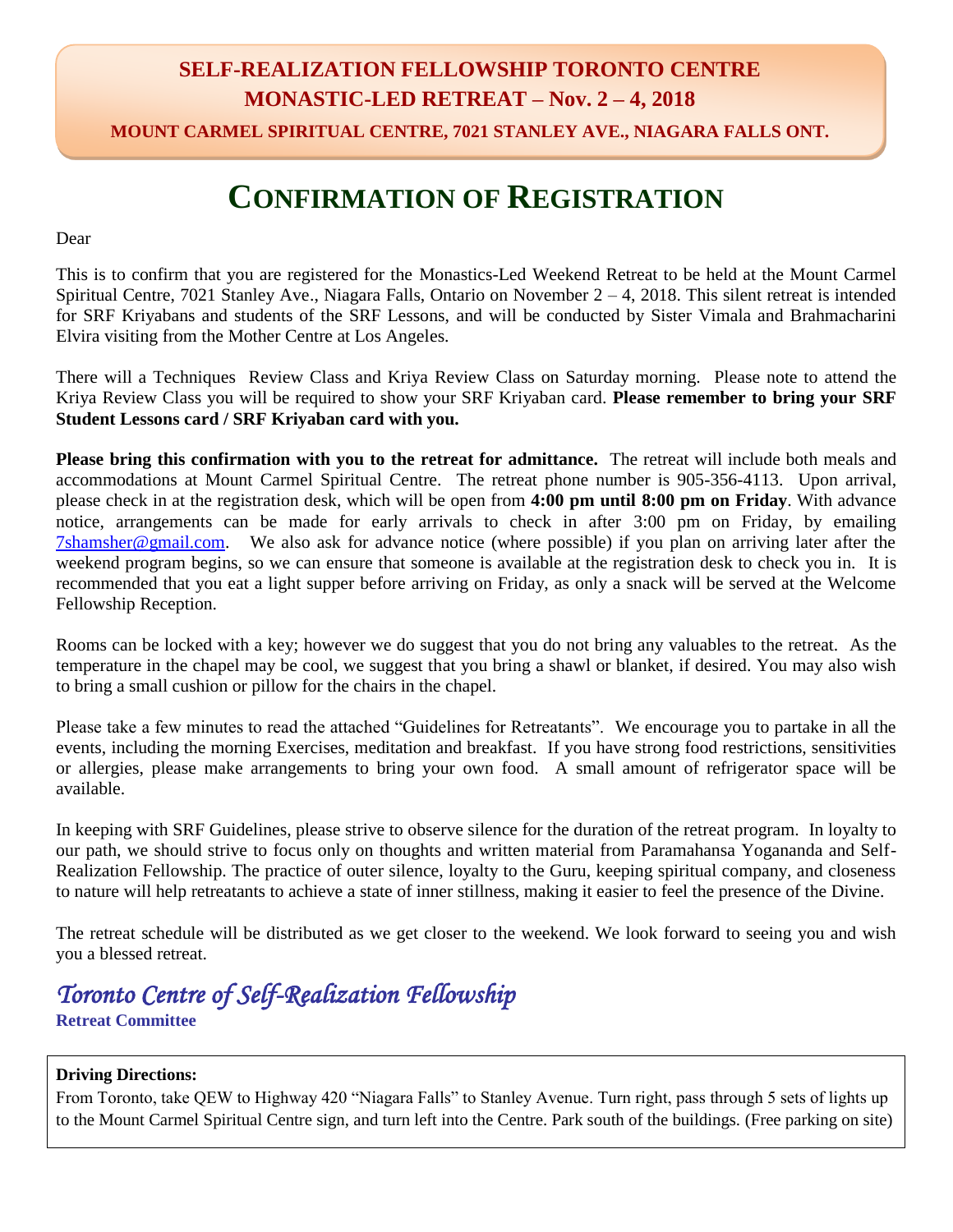## **SELF-REALIZATION FELLOWSHIP TORONTO CENTRE MONASTIC-LED RETREAT – Nov. 2 – 4, 2018**

**MOUNT CARMEL SPIRITUAL CENTRE, 7021 STANLEY AVE., NIAGARA FALLS ONT.**

## **CONFIRMATION OF REGISTRATION**

Dear

This is to confirm that you are registered for the Monastics-Led Weekend Retreat to be held at the Mount Carmel Spiritual Centre, 7021 Stanley Ave., Niagara Falls, Ontario on November  $2 - 4$ , 2018. This silent retreat is intended for SRF Kriyabans and students of the SRF Lessons, and will be conducted by Sister Vimala and Brahmacharini Elvira visiting from the Mother Centre at Los Angeles.

There will a Techniques Review Class and Kriya Review Class on Saturday morning. Please note to attend the Kriya Review Class you will be required to show your SRF Kriyaban card. **Please remember to bring your SRF Student Lessons card / SRF Kriyaban card with you.**

**Please bring this confirmation with you to the retreat for admittance.** The retreat will include both meals and accommodations at Mount Carmel Spiritual Centre. The retreat phone number is 905-356-4113. Upon arrival, please check in at the registration desk, which will be open from **4:00 pm until 8:00 pm on Friday**. With advance notice, arrangements can be made for early arrivals to check in after 3:00 pm on Friday, by emailing [7shamsher@gmail.com.](mailto:7shamsher@gmail.com) We also ask for advance notice (where possible) if you plan on arriving later after the weekend program begins, so we can ensure that someone is available at the registration desk to check you in. It is recommended that you eat a light supper before arriving on Friday, as only a snack will be served at the Welcome Fellowship Reception.

Rooms can be locked with a key; however we do suggest that you do not bring any valuables to the retreat. As the temperature in the chapel may be cool, we suggest that you bring a shawl or blanket, if desired. You may also wish to bring a small cushion or pillow for the chairs in the chapel.

Please take a few minutes to read the attached "Guidelines for Retreatants". We encourage you to partake in all the events, including the morning Exercises, meditation and breakfast. If you have strong food restrictions, sensitivities or allergies, please make arrangements to bring your own food. A small amount of refrigerator space will be available.

In keeping with SRF Guidelines, please strive to observe silence for the duration of the retreat program. In loyalty to our path, we should strive to focus only on thoughts and written material from Paramahansa Yogananda and Self-Realization Fellowship. The practice of outer silence, loyalty to the Guru, keeping spiritual company, and closeness to nature will help retreatants to achieve a state of inner stillness, making it easier to feel the presence of the Divine.

The retreat schedule will be distributed as we get closer to the weekend. We look forward to seeing you and wish you a blessed retreat.

### *Toronto Centre of Self-Realization Fellowship*  **Retreat Committee**

#### **Driving Directions:**

From Toronto, take QEW to Highway 420 "Niagara Falls" to Stanley Avenue. Turn right, pass through 5 sets of lights up to the Mount Carmel Spiritual Centre sign, and turn left into the Centre. Park south of the buildings. (Free parking on site)